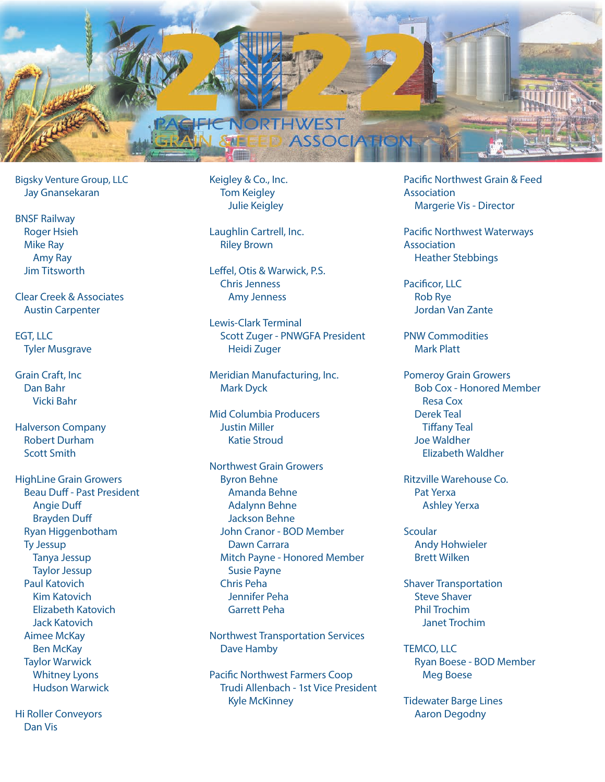

Bigsky Venture Group, LLC Jay Gnansekaran

BNSF Railway Roger Hsieh Mike Ray Amy Ray Jim Titsworth

Clear Creek & Associates Austin Carpenter

EGT, LLC Tyler Musgrave

Grain Craft, Inc Dan Bahr Vicki Bahr

Halverson Company Robert Durham Scott Smith

HighLine Grain Growers Beau Duff - Past President Angie Duff Brayden Duff Ryan Higgenbotham Ty Jessup Tanya Jessup Taylor Jessup Paul Katovich Kim Katovich Elizabeth Katovich Jack Katovich Aimee McKay Ben McKay Taylor Warwick Whitney Lyons Hudson Warwick

Hi Roller Conveyors Dan Vis

Keigley & Co., Inc. Tom Keigley Julie Keigley

Laughlin Cartrell, Inc. Riley Brown

Leffel, Otis & Warwick, P.S. Chris Jenness Amy Jenness

Lewis-Clark Terminal Scott Zuger - PNWGFA President Heidi Zuger

Meridian Manufacturing, Inc. Mark Dyck

Mid Columbia Producers Justin Miller Katie Stroud

Northwest Grain Growers Byron Behne Amanda Behne Adalynn Behne Jackson Behne John Cranor - BOD Member Dawn Carrara Mitch Payne - Honored Member Susie Payne Chris Peha Jennifer Peha Garrett Peha

Northwest Transportation Services Dave Hamby

Pacific Northwest Farmers Coop Trudi Allenbach - 1st Vice President Kyle McKinney

Pacific Northwest Grain & Feed Association Margerie Vis - Director

Pacific Northwest Waterways Association Heather Stebbings

Pacificor, LLC Rob Rye Jordan Van Zante

PNW Commodities Mark Platt

Pomeroy Grain Growers Bob Cox - Honored Member Resa Cox Derek Teal Tiffany Teal Joe Waldher Elizabeth Waldher

Ritzville Warehouse Co. Pat Yerxa Ashley Yerxa

**Scoular** Andy Hohwieler Brett Wilken

Shaver Transportation Steve Shaver Phil Trochim Janet Trochim

TEMCO, LLC Ryan Boese - BOD Member Meg Boese

Tidewater Barge Lines Aaron Degodny